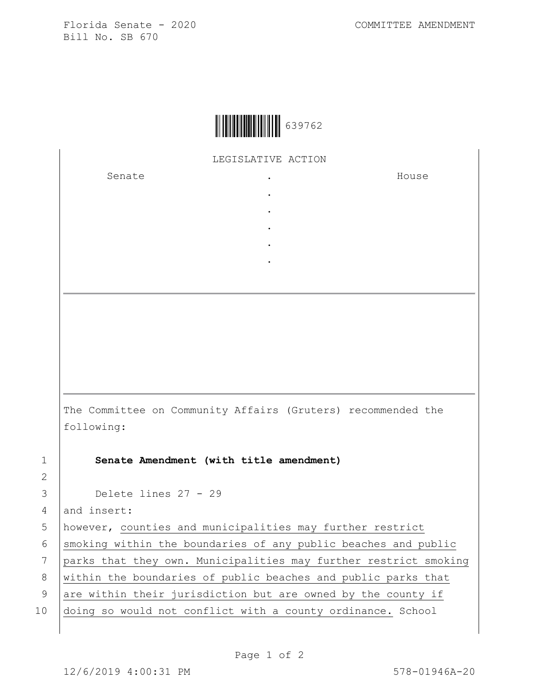Florida Senate - 2020 COMMITTEE AMENDMENT Bill No. SB 670



LEGISLATIVE ACTION

. . . . .

Senate the senate of the senate  $\cdot$ 

House

The Committee on Community Affairs (Gruters) recommended the following:

1 **Senate Amendment (with title amendment)**

3 Delete lines 27 - 29

4 and insert:

2

5 however, counties and municipalities may further restrict

 $6$  smoking within the boundaries of any public beaches and public

7 parks that they own. Municipalities may further restrict smoking

8 | within the boundaries of public beaches and public parks that

9 are within their jurisdiction but are owned by the county if

10 doing so would not conflict with a county ordinance. School